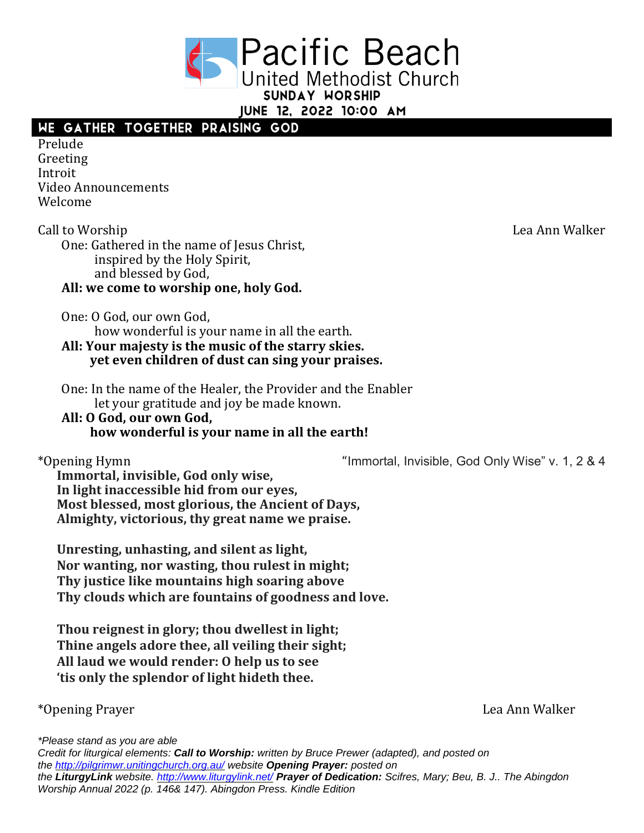**Pacific Beach United Methodist Church** SUNDAY WORSHIP

JUNE 12, 2022 10:00 AM

# WE GATHER TOGETHER PRAISING GOD

Prelude Greeting Introit Video Announcements Welcome

Call to Worship Lea Ann Walker One: Gathered in the name of Jesus Christ, inspired by the Holy Spirit, and blessed by God, **All: we come to worship one, holy God.**

One: O God, our own God,

how wonderful is your name in all the earth.

**All: Your majesty is the music of the starry skies. yet even children of dust can sing your praises.**

One: In the name of the Healer, the Provider and the Enabler let your gratitude and joy be made known.

#### **All: O God, our own God, how wonderful is your name in all the earth!**

\*Opening Hymn "Immortal, Invisible, God Only Wise" v. 1, 2 & 4

**Immortal, invisible, God only wise, In light inaccessible hid from our eyes, Most blessed, most glorious, the Ancient of Days, Almighty, victorious, thy great name we praise.**

**Unresting, unhasting, and silent as light, Nor wanting, nor wasting, thou rulest in might; Thy justice like mountains high soaring above Thy clouds which are fountains of goodness and love.**

**Thou reignest in glory; thou dwellest in light; Thine angels adore thee, all veiling their sight; All laud we would render: O help us to see 'tis only the splendor of light hideth thee.**

\*Opening Prayer Lea Ann Walker

*\*Please stand as you are able*

*Credit for liturgical elements: Call to Worship: written by Bruce Prewer (adapted), and posted on the <http://pilgrimwr.unitingchurch.org.au/> website Opening Prayer: posted on the LiturgyLink website. <http://www.liturgylink.net/> Prayer of Dedication: Scifres, Mary; Beu, B. J.. The Abingdon Worship Annual 2022 (p. 146& 147). Abingdon Press. Kindle Edition*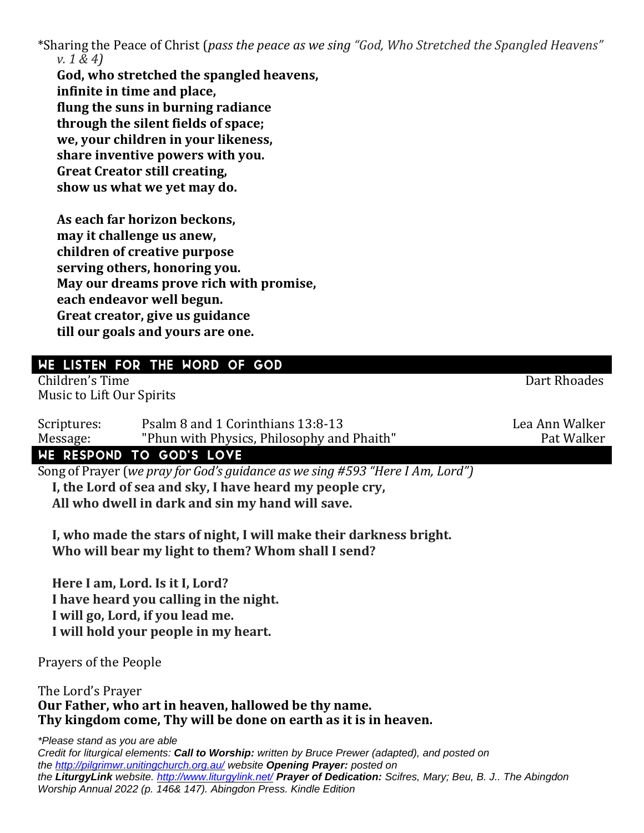\*Sharing the Peace of Christ (*pass the peace as we sing "God, Who Stretched the Spangled Heavens" v. 1 & 4)*

**God, who stretched the spangled heavens, infinite in time and place, flung the suns in burning radiance through the silent fields of space; we, your children in your likeness, share inventive powers with you. Great Creator still creating, show us what we yet may do.**

**As each far horizon beckons, may it challenge us anew, children of creative purpose serving others, honoring you. May our dreams prove rich with promise, each endeavor well begun. Great creator, give us guidance till our goals and yours are one.**

## WE LISTEN FOR THE WORD OF GOD

Children's Time Dart Rhoades Music to Lift Our Spirits

Scriptures: Psalm 8 and 1 Corinthians 13:8-13 Message: "Phun with Physics, Philosophy and Phaith" Pat Walker

### WE RESPOND TO GOD'S LOVE

Song of Prayer (*we pray for God's guidance as we sing #593 "Here I Am, Lord")* **I, the Lord of sea and sky, I have heard my people cry, All who dwell in dark and sin my hand will save.**

**I, who made the stars of night, I will make their darkness bright. Who will bear my light to them? Whom shall I send?**

**Here I am, Lord. Is it I, Lord? I have heard you calling in the night. I will go, Lord, if you lead me. I will hold your people in my heart.**

Prayers of the People

The Lord's Prayer **Our Father, who art in heaven, hallowed be thy name. Thy kingdom come, Thy will be done on earth as it is in heaven.** 

*\*Please stand as you are able*

*Credit for liturgical elements: Call to Worship: written by Bruce Prewer (adapted), and posted on the <http://pilgrimwr.unitingchurch.org.au/> website Opening Prayer: posted on the LiturgyLink website. <http://www.liturgylink.net/> Prayer of Dedication: Scifres, Mary; Beu, B. J.. The Abingdon Worship Annual 2022 (p. 146& 147). Abingdon Press. Kindle Edition*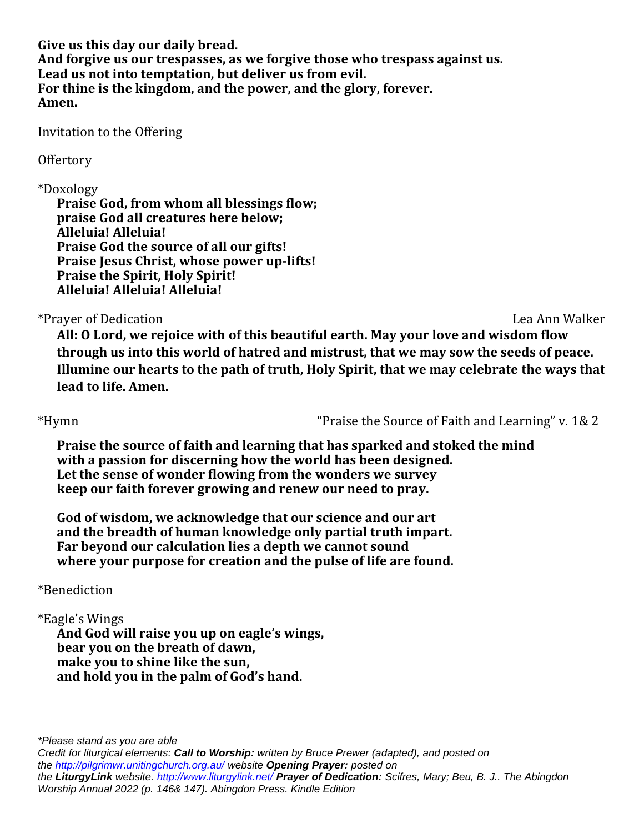**Give us this day our daily bread. And forgive us our trespasses, as we forgive those who trespass against us. Lead us not into temptation, but deliver us from evil. For thine is the kingdom, and the power, and the glory, forever. Amen.**

Invitation to the Offering

### **Offertory**

### \*Doxology

**Praise God, from whom all blessings flow; praise God all creatures here below; Alleluia! Alleluia! Praise God the source of all our gifts! Praise Jesus Christ, whose power up-lifts! Praise the Spirit, Holy Spirit! Alleluia! Alleluia! Alleluia!**

### \*Prayer of Dedication Lea Ann Walker

**All: O Lord, we rejoice with of this beautiful earth. May your love and wisdom flow through us into this world of hatred and mistrust, that we may sow the seeds of peace. Illumine our hearts to the path of truth, Holy Spirit, that we may celebrate the ways that lead to life. Amen.**

\*Hymn "Praise the Source of Faith and Learning" v. 1& 2

**Praise the source of faith and learning that has sparked and stoked the mind with a passion for discerning how the world has been designed. Let the sense of wonder flowing from the wonders we survey keep our faith forever growing and renew our need to pray.**

**God of wisdom, we acknowledge that our science and our art and the breadth of human knowledge only partial truth impart. Far beyond our calculation lies a depth we cannot sound where your purpose for creation and the pulse of life are found.**

## \*Benediction

## \*Eagle's Wings

**And God will raise you up on eagle's wings, bear you on the breath of dawn, make you to shine like the sun, and hold you in the palm of God's hand.**